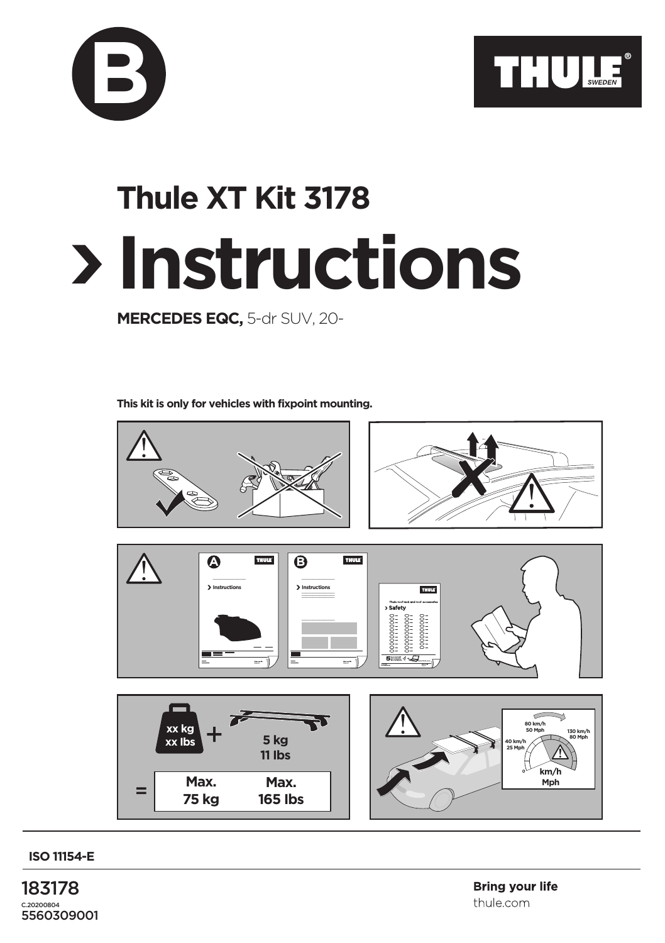

## **Instructions Thule XT Kit 3178**

**MERCEDES EQC,** 5-dr SUV, 20-

**B**

**This kit is only for vehicles with fixpoint mounting.**



**ISO 11154-E**

183178 C.20200804 5560309001 **Bring vour life** thule.com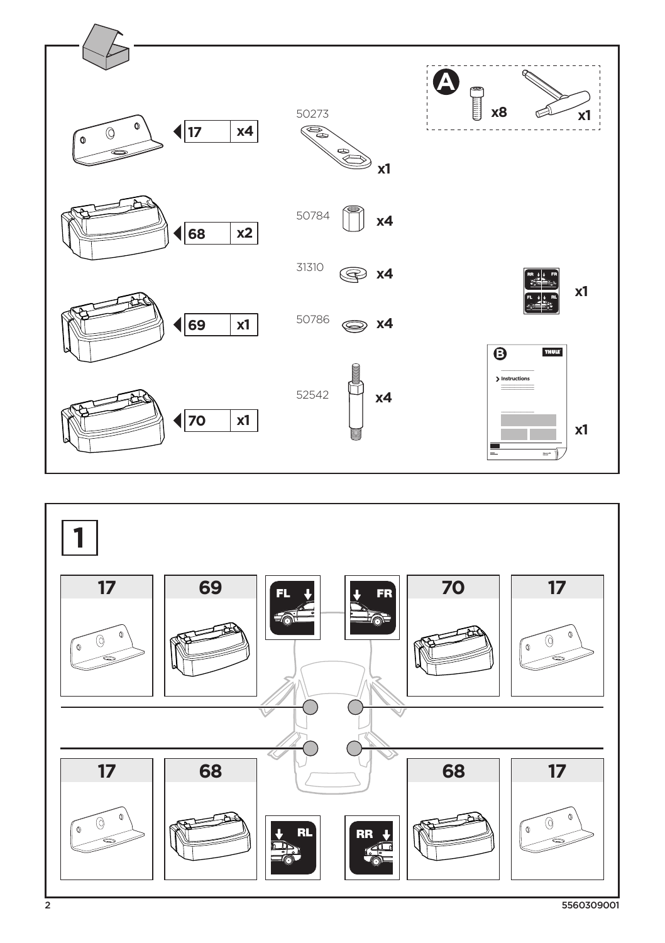

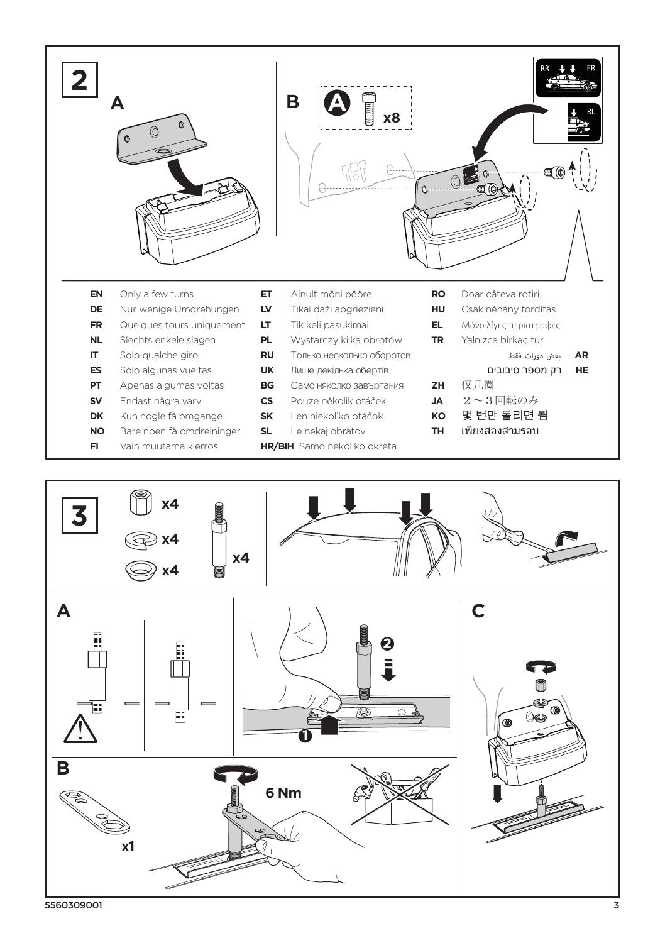



5560309001